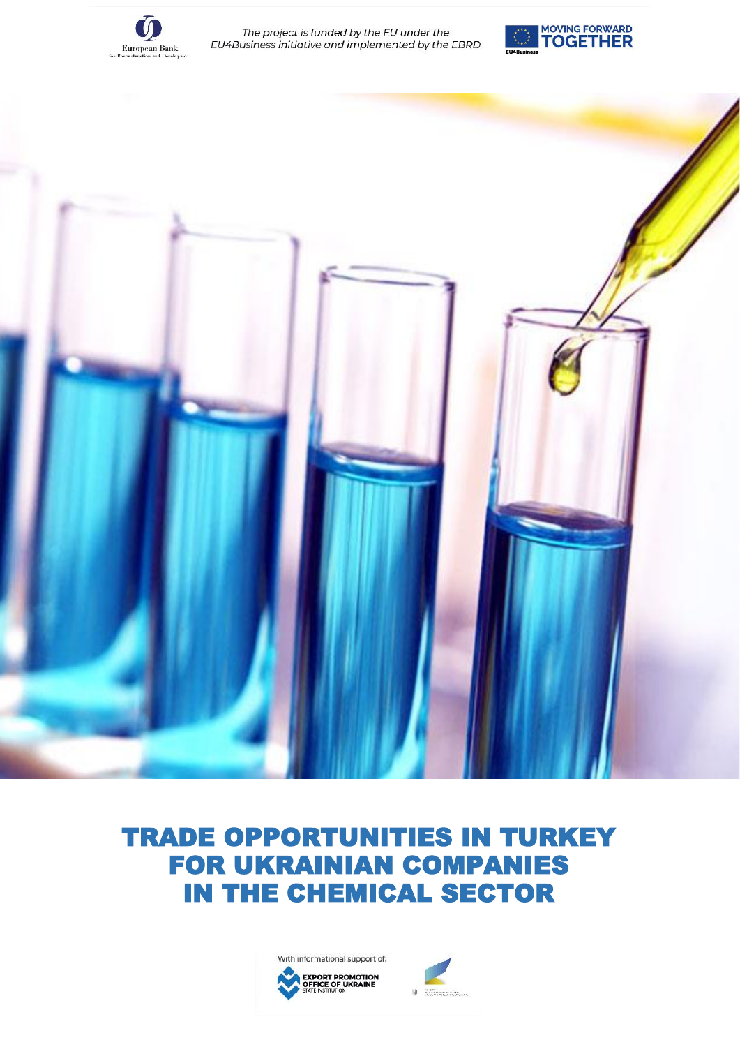

The project is funded by the EU under the EU4Business initiative and implemented by the EBRD





# FOR UKRAINIAN COMPANIES IN THE CHEMICAL SECTOR



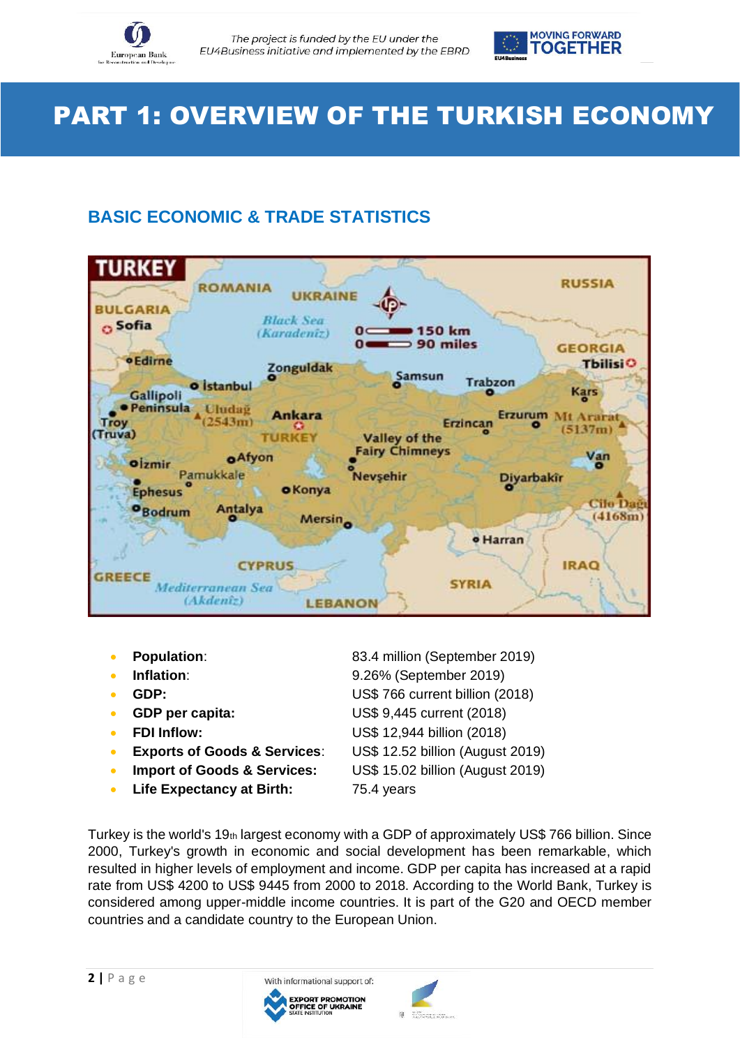



# PART 1: OVERVIEW OF THE TURKISH ECONOMY

# **BASIC ECONOMIC & TRADE STATISTICS**



- 
- 
- 
- 
- 
- **Exports of Goods & Services**: US\$ 12.52 billion (August 2019)
- **Import of Goods & Services:** US\$ 15.02 billion (August 2019)
- **Life Expectancy at Birth:** 75.4 years

**Population:** 83.4 million (September 2019) **Inflation:** 9.26% (September 2019) • **GDP:** US\$ 766 current billion (2018)

- **GDP per capita:** US\$ 9,445 current (2018)
- **FDI Inflow:** US\$ 12,944 billion (2018)
	-
	-
	-

Turkey is the world's 19th largest economy with a GDP of approximately US\$ 766 billion. Since 2000, Turkey's growth in economic and social development has been remarkable, which resulted in higher levels of employment and income. GDP per capita has increased at a rapid rate from US\$ 4200 to US\$ 9445 from 2000 to 2018. According to the World Bank, Turkey is considered among upper-middle income countries. It is part of the G20 and OECD member countries and a candidate country to the European Union.



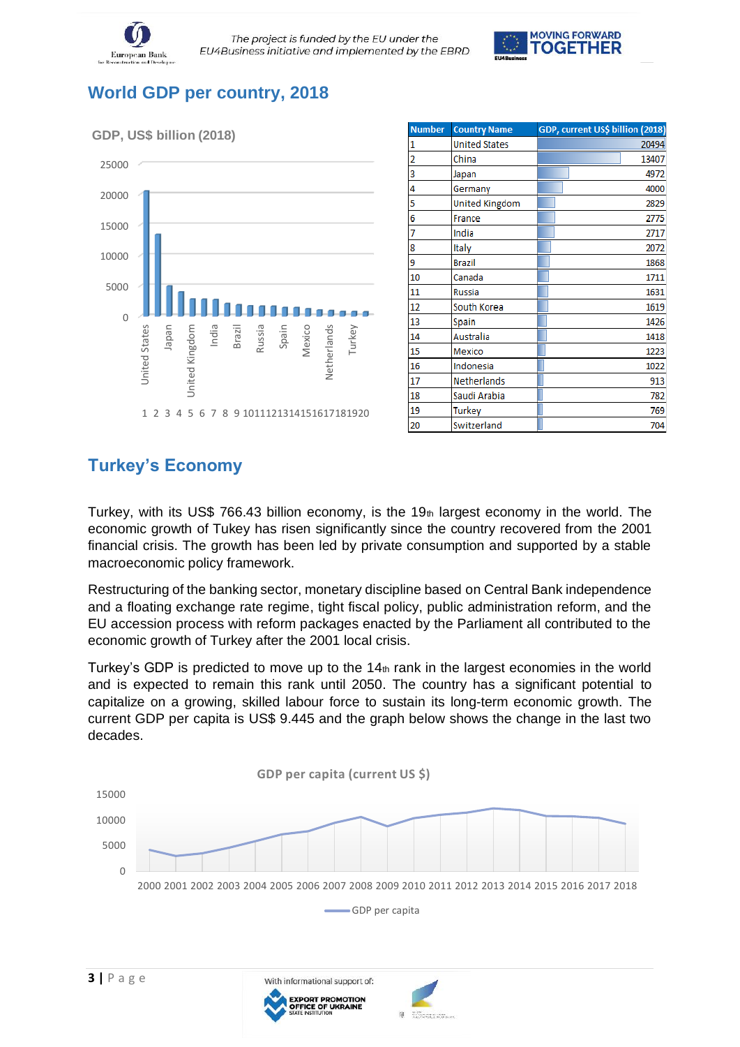



# **World GDP per country, 2018**



| <b>Number</b> | <b>Country Name</b>   | GDP, current US\$ billion (2018) |
|---------------|-----------------------|----------------------------------|
| 1             | <b>United States</b>  | 20494                            |
| 2             | China                 | 13407                            |
| 3             | Japan                 | 4972                             |
| 4             | Germany               | 4000                             |
| 5             | <b>United Kingdom</b> | 2829                             |
| 6             | France                | 2775                             |
| 7             | India                 | 2717                             |
| 8             | Italy                 | 2072                             |
| 9             | <b>Brazil</b>         | 1868                             |
| 10            | Canada                | 1711                             |
| 11            | <b>Russia</b>         | 1631                             |
| 12            | South Korea           | 1619                             |
| 13            | Spain                 | 1426                             |
| 14            | Australia             | 1418                             |
| 15            | Mexico                | 1223                             |
| 16            | Indonesia             | 1022                             |
| 17            | Netherlands           | 913                              |
| 18            | Saudi Arabia          | 782                              |
| 19            | <b>Turkey</b>         | 769                              |
| 20            | Switzerland           | 704                              |

# **Turkey's Economy**

Turkey, with its US\$ 766.43 billion economy, is the 19th largest economy in the world. The economic growth of Tukey has risen significantly since the country recovered from the 2001 financial crisis. The growth has been led by private consumption and supported by a stable macroeconomic policy framework.

Restructuring of the banking sector, monetary discipline based on Central Bank independence and a floating exchange rate regime, tight fiscal policy, public administration reform, and the EU accession process with reform packages enacted by the Parliament all contributed to the economic growth of Turkey after the 2001 local crisis.

Turkey's GDP is predicted to move up to the  $14<sub>th</sub>$  rank in the largest economies in the world and is expected to remain this rank until 2050. The country has a significant potential to capitalize on a growing, skilled labour force to sustain its long-term economic growth. The current GDP per capita is US\$ 9.445 and the graph below shows the change in the last two decades.



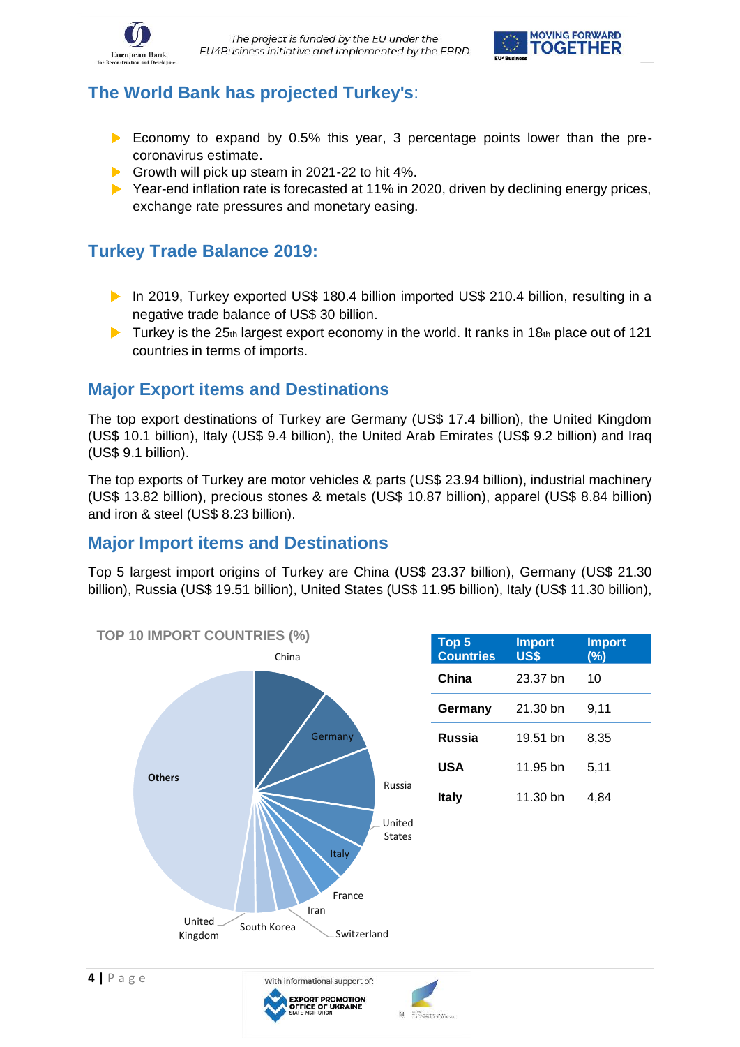



# **The World Bank has projected Turkey's**:

- Economy to expand by 0.5% this year, 3 percentage points lower than the precoronavirus estimate.
- Growth will pick up steam in 2021-22 to hit 4%.
- $\triangleright$  Year-end inflation rate is forecasted at 11% in 2020, driven by declining energy prices, exchange rate pressures and monetary easing.

### **Turkey Trade Balance 2019:**

- ▶ In 2019, Turkey exported US\$ 180.4 billion imported US\$ 210.4 billion, resulting in a negative trade balance of US\$ 30 billion.
- $\blacktriangleright$  Turkey is the 25th largest export economy in the world. It ranks in 18th place out of 121 countries in terms of imports.

#### **Major Export items and Destinations**

The top export destinations of Turkey are Germany (US\$ 17.4 billion), the United Kingdom (US\$ 10.1 billion), Italy (US\$ 9.4 billion), the United Arab Emirates (US\$ 9.2 billion) and Iraq (US\$ 9.1 billion).

The top exports of Turkey are motor vehicles & parts (US\$ 23.94 billion), industrial machinery (US\$ 13.82 billion), precious stones & metals (US\$ 10.87 billion), apparel (US\$ 8.84 billion) and iron & steel (US\$ 8.23 billion).

#### **Major Import items and Destinations**

Top 5 largest import origins of Turkey are China (US\$ 23.37 billion), Germany (US\$ 21.30 billion), Russia (US\$ 19.51 billion), United States (US\$ 11.95 billion), Italy (US\$ 11.30 billion),



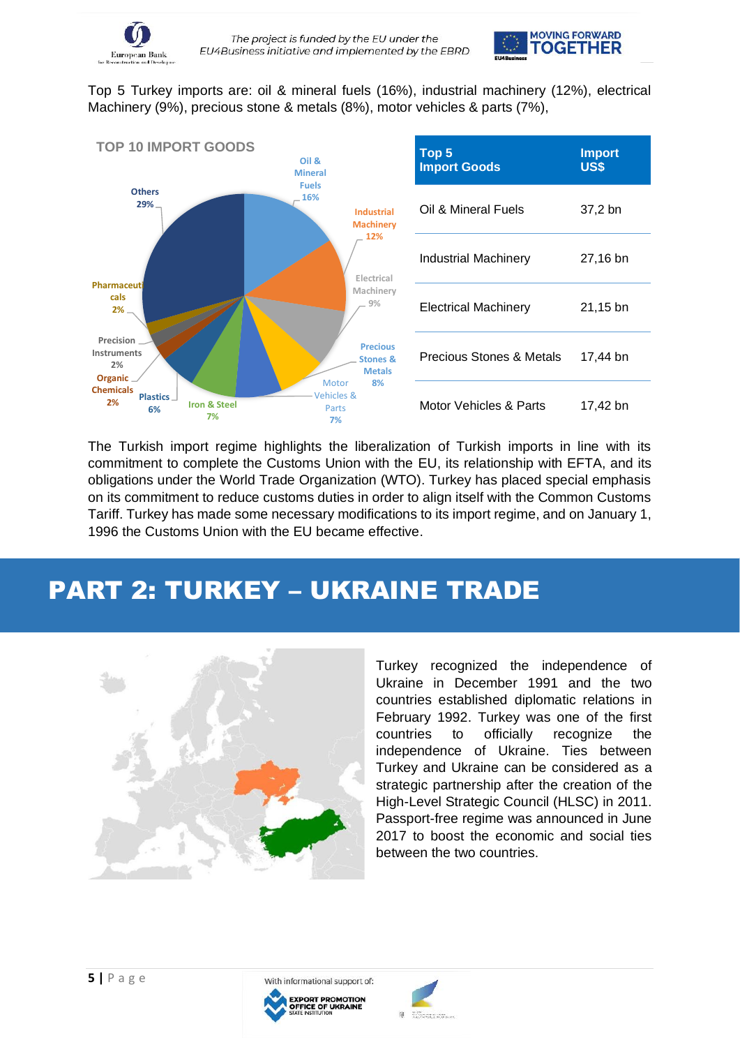

Top 5 Turkey imports are: oil & mineral fuels (16%), industrial machinery (12%), electrical Machinery (9%), precious stone & metals (8%), motor vehicles & parts (7%),



The Turkish import regime highlights the liberalization of Turkish imports in line with its commitment to complete the Customs Union with the EU, its relationship with EFTA, and its obligations under the World Trade Organization (WTO). Turkey has placed special emphasis on its commitment to reduce customs duties in order to align itself with the Common Customs Tariff. Turkey has made some necessary modifications to its import regime, and on January 1, 1996 the Customs Union with the EU became effective.

# PART 2: TURKEY – UKRAINE TRADE



Turkey recognized the independence of Ukraine in December 1991 and the two countries established diplomatic relations in February 1992. Turkey was one of the first countries to officially recognize the independence of Ukraine. Ties between Turkey and Ukraine can be considered as a strategic partnership after the creation of the High-Level Strategic Council (HLSC) in 2011. Passport-free regime was announced in June 2017 to boost the economic and social ties between the two countries.



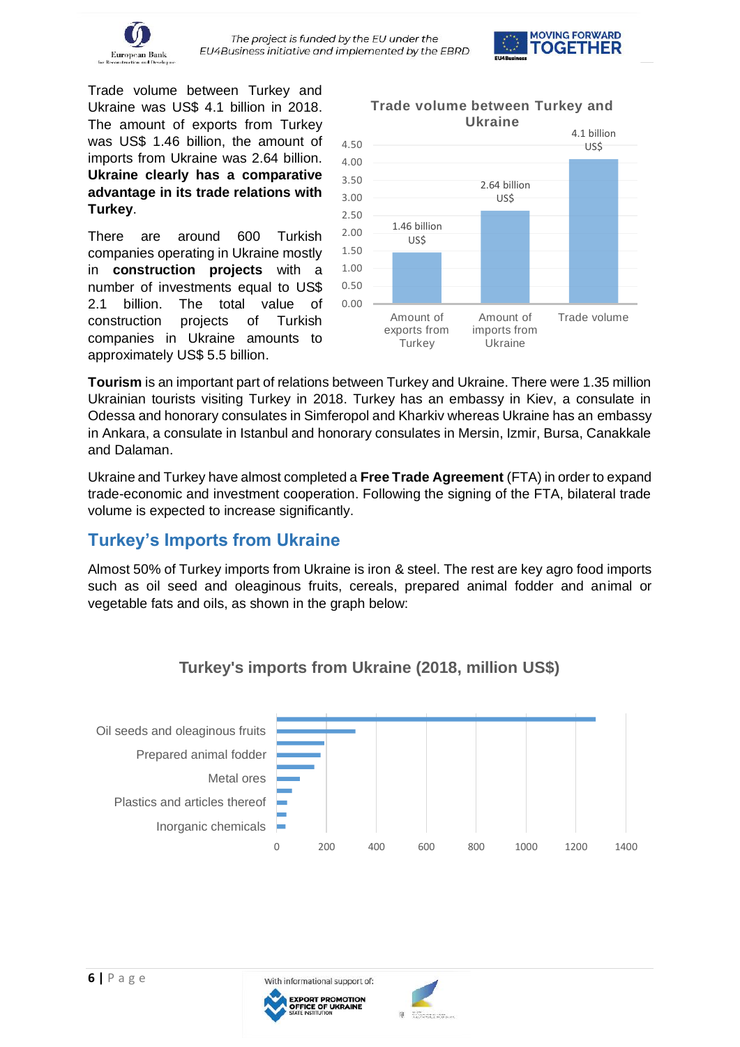



Trade volume between Turkey and Ukraine was US\$ 4.1 billion in 2018. The amount of exports from Turkey was US\$ 1.46 billion, the amount of imports from Ukraine was 2.64 billion. **Ukraine clearly has a comparative advantage in its trade relations with Turkey**.

There are around 600 Turkish companies operating in Ukraine mostly in **construction projects** with a number of investments equal to US\$ 2.1 billion. The total value of construction projects of Turkish companies in Ukraine amounts to approximately US\$ 5.5 billion.



**Tourism** is an important part of relations between Turkey and Ukraine. There were 1.35 million Ukrainian tourists visiting Turkey in 2018. Turkey has an embassy in Kiev, a consulate in Odessa and honorary consulates in Simferopol and Kharkiv whereas Ukraine has an embassy in Ankara, a consulate in Istanbul and honorary consulates in Mersin, Izmir, Bursa, Canakkale and Dalaman.

Ukraine and Turkey have almost completed a **Free Trade Agreement** (FTA) in order to expand trade-economic and investment cooperation. Following the signing of the FTA, bilateral trade volume is expected to increase significantly.

# **Turkey's Imports from Ukraine**

Almost 50% of Turkey imports from Ukraine is iron & steel. The rest are key agro food imports such as oil seed and oleaginous fruits, cereals, prepared animal fodder and animal or vegetable fats and oils, as shown in the graph below:



#### **Turkey's imports from Ukraine (2018, million US\$)**



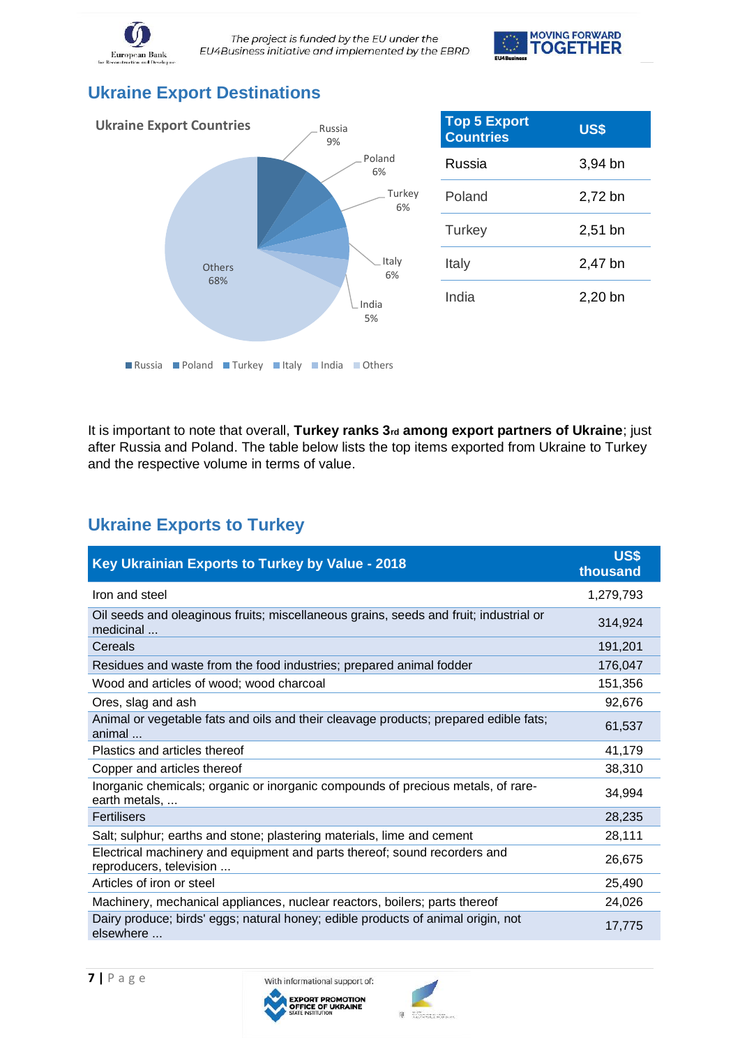

The project is funded by the EU under the EU4Business initiative and implemented by the EBRD



# **Ukraine Export Destinations**



| <b>Top 5 Export</b><br><b>Countries</b> | US\$      |
|-----------------------------------------|-----------|
| Russia                                  | $3,94$ bn |
| Poland                                  | 2,72 bn   |
| Turkey                                  | $2,51$ bn |
| Italy                                   | 2,47 bn   |
| India                                   | 2.20 bn   |

It is important to note that overall, Turkey ranks 3<sub>rd</sub> among export partners of Ukraine; just after Russia and Poland. The table below lists the top items exported from Ukraine to Turkey and the respective volume in terms of value.

# **Ukraine Exports to Turkey**

| Key Ukrainian Exports to Turkey by Value - 2018                                                      | <b>US\$</b><br>thousand |
|------------------------------------------------------------------------------------------------------|-------------------------|
| Iron and steel                                                                                       | 1,279,793               |
| Oil seeds and oleaginous fruits; miscellaneous grains, seeds and fruit; industrial or<br>medicinal   | 314,924                 |
| Cereals                                                                                              | 191,201                 |
| Residues and waste from the food industries; prepared animal fodder                                  | 176,047                 |
| Wood and articles of wood; wood charcoal                                                             | 151,356                 |
| Ores, slag and ash                                                                                   | 92,676                  |
| Animal or vegetable fats and oils and their cleavage products; prepared edible fats;<br>animal       | 61,537                  |
| Plastics and articles thereof                                                                        | 41,179                  |
| Copper and articles thereof                                                                          | 38,310                  |
| Inorganic chemicals; organic or inorganic compounds of precious metals, of rare-<br>earth metals,    | 34,994                  |
| Fertilisers                                                                                          | 28,235                  |
| Salt; sulphur; earths and stone; plastering materials, lime and cement                               | 28,111                  |
| Electrical machinery and equipment and parts thereof; sound recorders and<br>reproducers, television | 26,675                  |
| Articles of iron or steel                                                                            | 25,490                  |
| Machinery, mechanical appliances, nuclear reactors, boilers; parts thereof                           | 24,026                  |
| Dairy produce; birds' eggs; natural honey; edible products of animal origin, not<br>elsewhere        | 17,775                  |



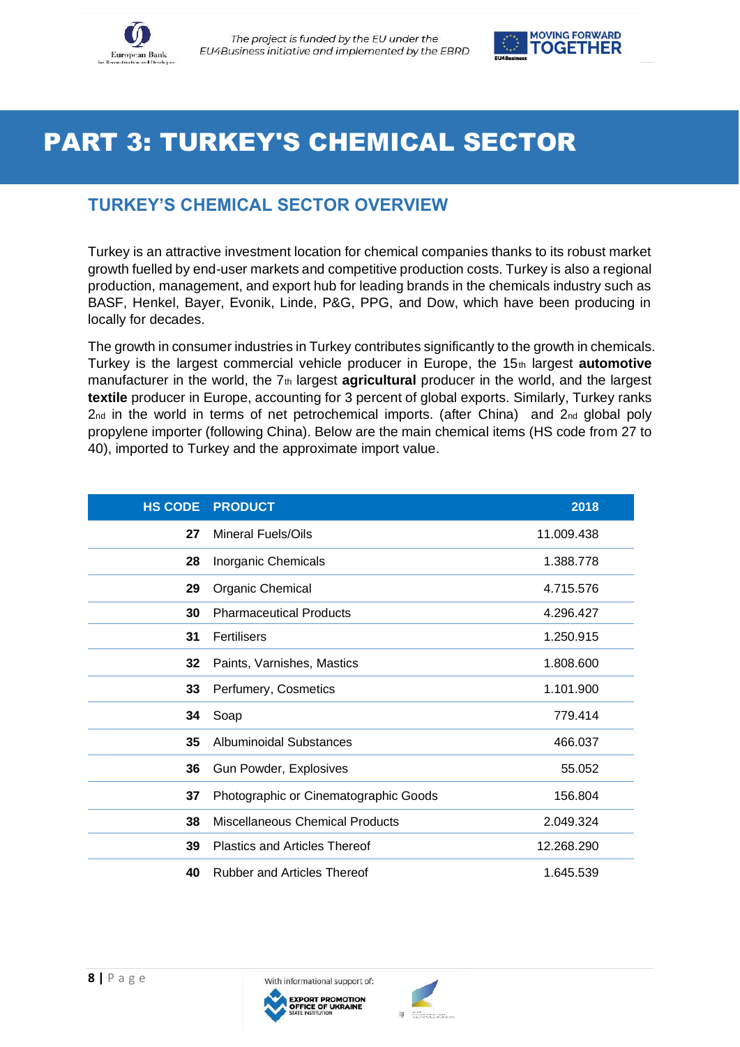



# PART 3: TURKEY'S CHEMICAL SECTOR

# **TURKEY'S CHEMICAL SECTOR OVERVIEW**

Turkey is an attractive investment location for chemical companies thanks to its robust market growth fuelled by end-user markets and competitive production costs. Turkey is also a regional production, management, and export hub for leading brands in the chemicals industry such as BASF, Henkel, Bayer, Evonik, Linde, P&G, PPG, and Dow, which have been producing in locally for decades.

The growth in consumer industries in Turkey contributes significantly to the growth in chemicals. Turkey is the largest commercial vehicle producer in Europe, the 15th largest **automotive** manufacturer in the world, the 7<sup>th</sup> largest **agricultural** producer in the world, and the largest **textile** producer in Europe, accounting for 3 percent of global exports. Similarly, Turkey ranks  $2<sub>nd</sub>$  in the world in terms of net petrochemical imports. (after China) and  $2<sub>nd</sub>$  global poly propylene importer (following China). Below are the main chemical items (HS code from 27 to 40), imported to Turkey and the approximate import value.

| <b>HS CODE</b> | <b>PRODUCT</b>                         | 2018       |
|----------------|----------------------------------------|------------|
| 27             | Mineral Fuels/Oils                     | 11.009.438 |
| 28             | Inorganic Chemicals                    | 1.388.778  |
| 29             | <b>Organic Chemical</b>                | 4.715.576  |
| 30             | <b>Pharmaceutical Products</b>         | 4.296.427  |
| 31             | Fertilisers                            | 1.250.915  |
| 32             | Paints, Varnishes, Mastics             | 1.808.600  |
| 33             | Perfumery, Cosmetics                   | 1.101.900  |
| 34             | Soap                                   | 779.414    |
| 35             | <b>Albuminoidal Substances</b>         | 466.037    |
| 36             | Gun Powder, Explosives                 | 55.052     |
| 37             | Photographic or Cinematographic Goods  | 156.804    |
| 38             | <b>Miscellaneous Chemical Products</b> | 2.049.324  |
| 39             | <b>Plastics and Articles Thereof</b>   | 12.268.290 |
| 40             | <b>Rubber and Articles Thereof</b>     | 1.645.539  |

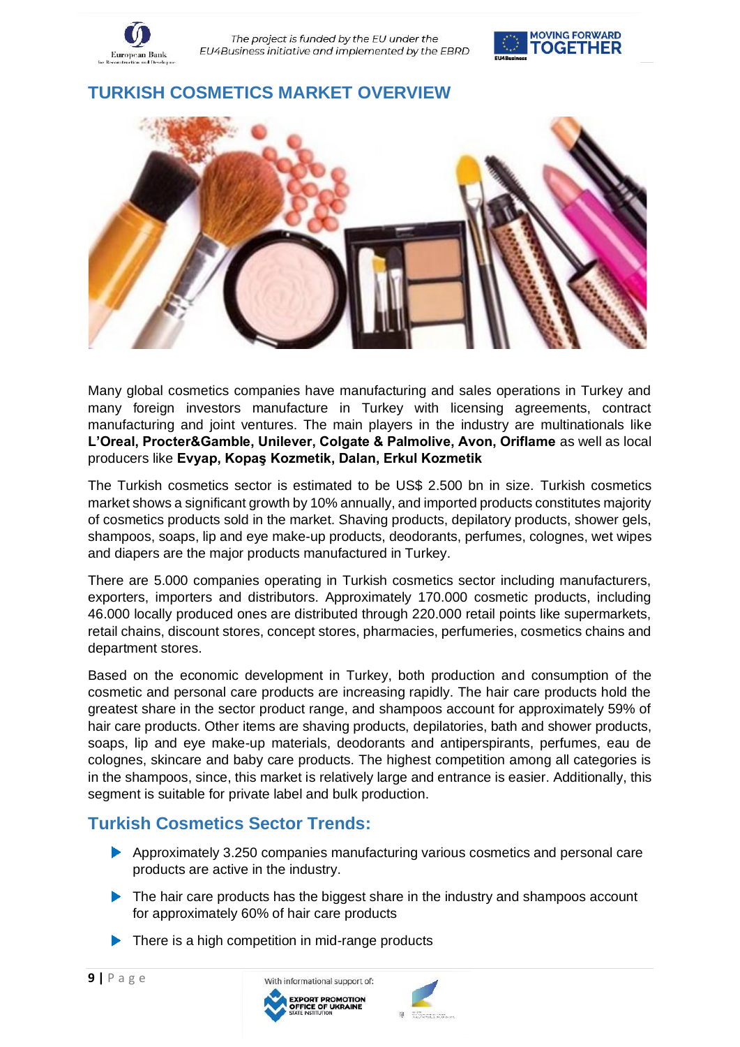

**TURKISH COSMETICS MARKET OVERVIEW**



Many global cosmetics companies have manufacturing and sales operations in Turkey and many foreign investors manufacture in Turkey with licensing agreements, contract manufacturing and joint ventures. The main players in the industry are multinationals like **L'Oreal, Procter&Gamble, Unilever, Colgate & Palmolive, Avon, Oriflame** as well as local producers like **Evyap, Kopaş Kozmetik, Dalan, Erkul Kozmetik**

The Turkish cosmetics sector is estimated to be US\$ 2.500 bn in size. Turkish cosmetics market shows a significant growth by 10% annually, and imported products constitutes majority of cosmetics products sold in the market. Shaving products, depilatory products, shower gels, shampoos, soaps, lip and eye make-up products, deodorants, perfumes, colognes, wet wipes and diapers are the major products manufactured in Turkey.

There are 5.000 companies operating in Turkish cosmetics sector including manufacturers, exporters, importers and distributors. Approximately 170.000 cosmetic products, including 46.000 locally produced ones are distributed through 220.000 retail points like supermarkets, retail chains, discount stores, concept stores, pharmacies, perfumeries, cosmetics chains and department stores.

Based on the economic development in Turkey, both production and consumption of the cosmetic and personal care products are increasing rapidly. The hair care products hold the greatest share in the sector product range, and shampoos account for approximately 59% of hair care products. Other items are shaving products, depilatories, bath and shower products, soaps, lip and eye make-up materials, deodorants and antiperspirants, perfumes, eau de colognes, skincare and baby care products. The highest competition among all categories is in the shampoos, since, this market is relatively large and entrance is easier. Additionally, this segment is suitable for private label and bulk production.

# **Turkish Cosmetics Sector Trends:**

- Approximately 3.250 companies manufacturing various cosmetics and personal care products are active in the industry.
- The hair care products has the biggest share in the industry and shampoos account for approximately 60% of hair care products
- $\blacktriangleright$  There is a high competition in mid-range products



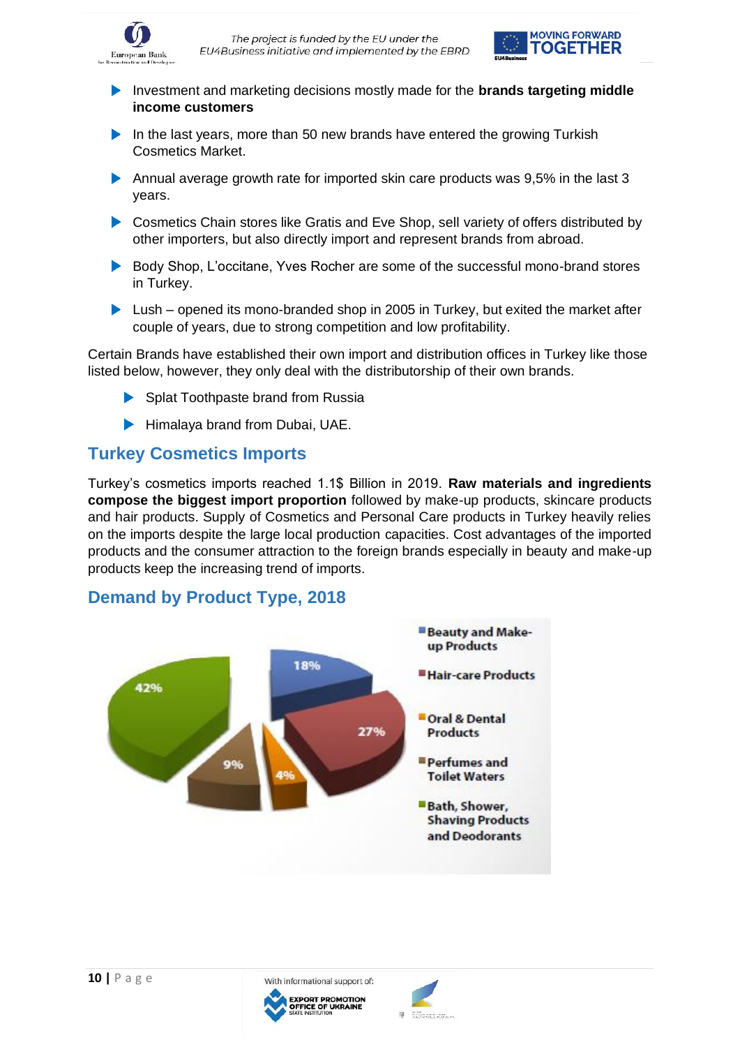



- Investment and marketing decisions mostly made for the **brands targeting middle income customers**
- In the last years, more than 50 new brands have entered the growing Turkish Cosmetics Market.
- Annual average growth rate for imported skin care products was 9,5% in the last 3 years.
- ▶ Cosmetics Chain stores like Gratis and Eve Shop, sell variety of offers distributed by other importers, but also directly import and represent brands from abroad.
- Body Shop, L'occitane, Yves Rocher are some of the successful mono-brand stores in Turkey.
- Lush opened its mono-branded shop in 2005 in Turkey, but exited the market after couple of years, due to strong competition and low profitability.

Certain Brands have established their own import and distribution offices in Turkey like those listed below, however, they only deal with the distributorship of their own brands.

- Splat Toothpaste brand from Russia
- $\blacktriangleright$ Himalaya brand from Dubai, UAE.

#### **Turkey Cosmetics Imports**

Turkey's cosmetics imports reached 1.1\$ Billion in 2019. **Raw materials and ingredients compose the biggest import proportion** followed by make-up products, skincare products and hair products. Supply of Cosmetics and Personal Care products in Turkey heavily relies on the imports despite the large local production capacities. Cost advantages of the imported products and the consumer attraction to the foreign brands especially in beauty and make-up products keep the increasing trend of imports.

#### **Demand by Product Type, 2018**



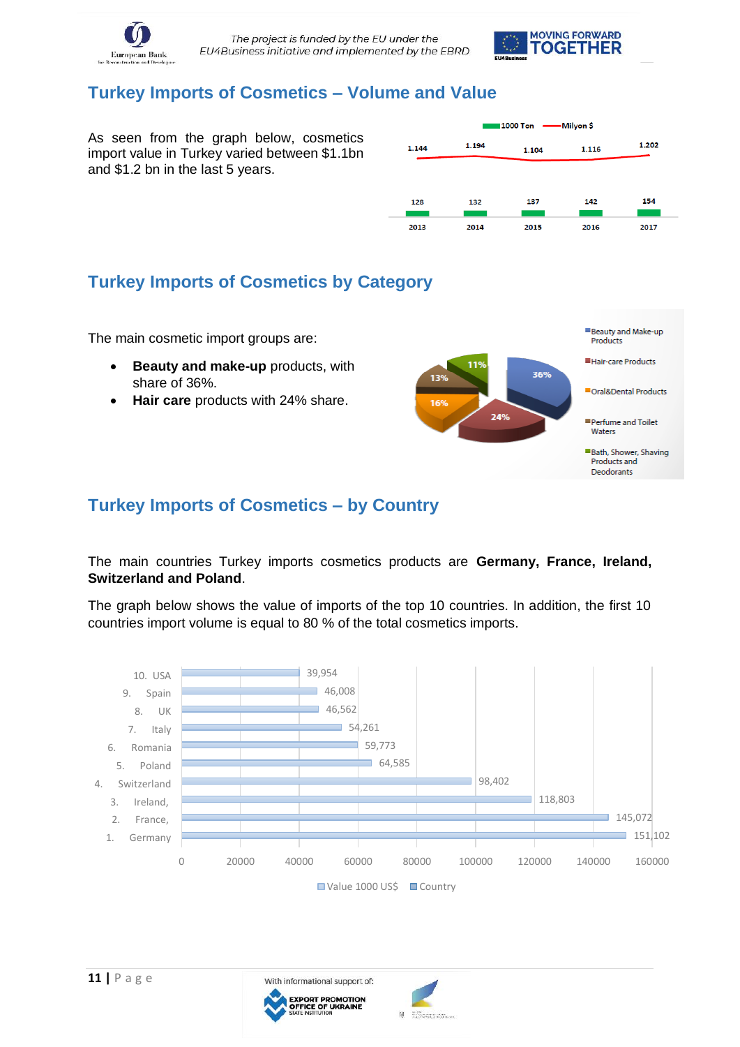



### **Turkey Imports of Cosmetics – Volume and Value**

As seen from the graph below, cosmetics import value in Turkey varied between \$1.1bn and \$1.2 bn in the last 5 years.

| 1.144 | 1.194 | 1.104 | 1.116 | 1.202 |
|-------|-------|-------|-------|-------|
|       |       |       |       |       |
| 128   | 132   | 137   | 142   | 154   |
|       |       |       |       |       |
| 2013  | 2014  | 2015  | 2016  | 2017  |

## **Turkey Imports of Cosmetics by Category**

The main cosmetic import groups are:

- **Beauty and make-up** products, with share of 36%.
- **Hair care** products with 24% share.



#### **Turkey Imports of Cosmetics – by Country**

#### The main countries Turkey imports cosmetics products are **Germany, France, Ireland, Switzerland and Poland**.

The graph below shows the value of imports of the top 10 countries. In addition, the first 10 countries import volume is equal to 80 % of the total cosmetics imports.



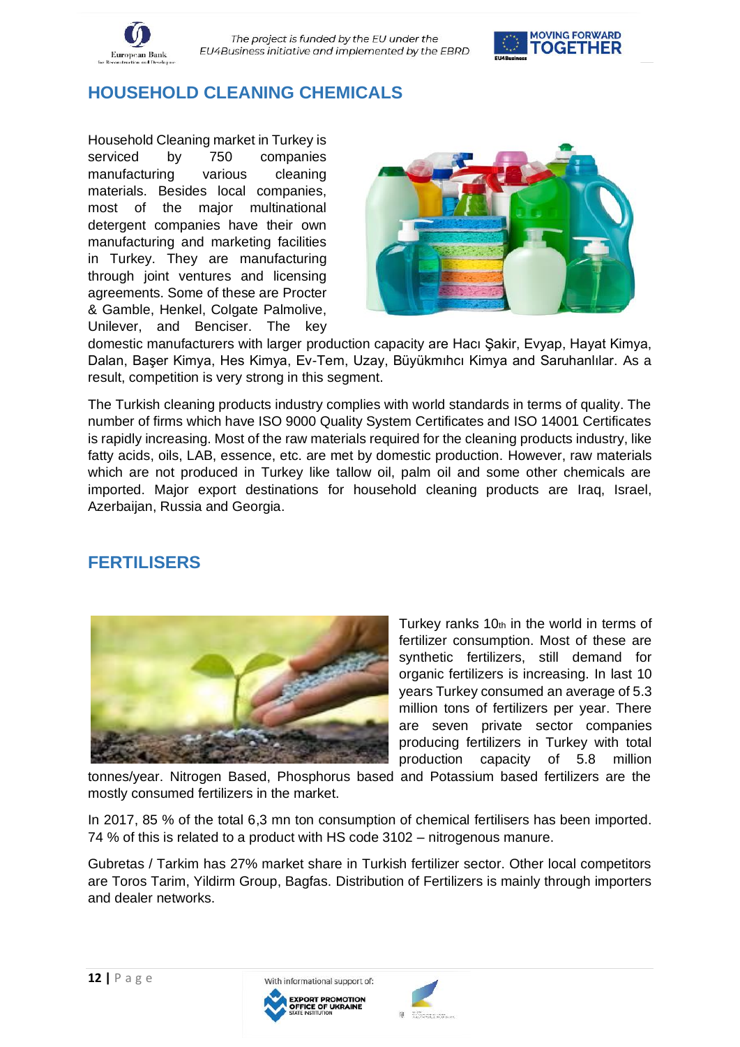

# **HOUSEHOLD CLEANING CHEMICALS**

Household Cleaning market in Turkey is serviced by 750 companies manufacturing various cleaning materials. Besides local companies, most of the major multinational detergent companies have their own manufacturing and marketing facilities in Turkey. They are manufacturing through joint ventures and licensing agreements. Some of these are Procter & Gamble, Henkel, Colgate Palmolive, Unilever, and Benciser. The key



domestic manufacturers with larger production capacity are Hacı Şakir, Evyap, Hayat Kimya, Dalan, Başer Kimya, Hes Kimya, Ev-Tem, Uzay, Büyükmıhcı Kimya and Saruhanlılar. As a result, competition is very strong in this segment.

The Turkish cleaning products industry complies with world standards in terms of quality. The number of firms which have ISO 9000 Quality System Certificates and ISO 14001 Certificates is rapidly increasing. Most of the raw materials required for the cleaning products industry, like fatty acids, oils, LAB, essence, etc. are met by domestic production. However, raw materials which are not produced in Turkey like tallow oil, palm oil and some other chemicals are imported. Major export destinations for household cleaning products are Iraq, Israel, Azerbaijan, Russia and Georgia.

# **FERTILISERS**



Turkey ranks  $10<sub>th</sub>$  in the world in terms of fertilizer consumption. Most of these are synthetic fertilizers, still demand for organic fertilizers is increasing. In last 10 years Turkey consumed an average of 5.3 million tons of fertilizers per year. There are seven private sector companies producing fertilizers in Turkey with total production capacity of 5.8 million

tonnes/year. Nitrogen Based, Phosphorus based and Potassium based fertilizers are the mostly consumed fertilizers in the market.

In 2017, 85 % of the total 6,3 mn ton consumption of chemical fertilisers has been imported. 74 % of this is related to a product with HS code 3102 – nitrogenous manure.

Gubretas / Tarkim has 27% market share in Turkish fertilizer sector. Other local competitors are Toros Tarim, Yildirm Group, Bagfas. Distribution of Fertilizers is mainly through importers and dealer networks.



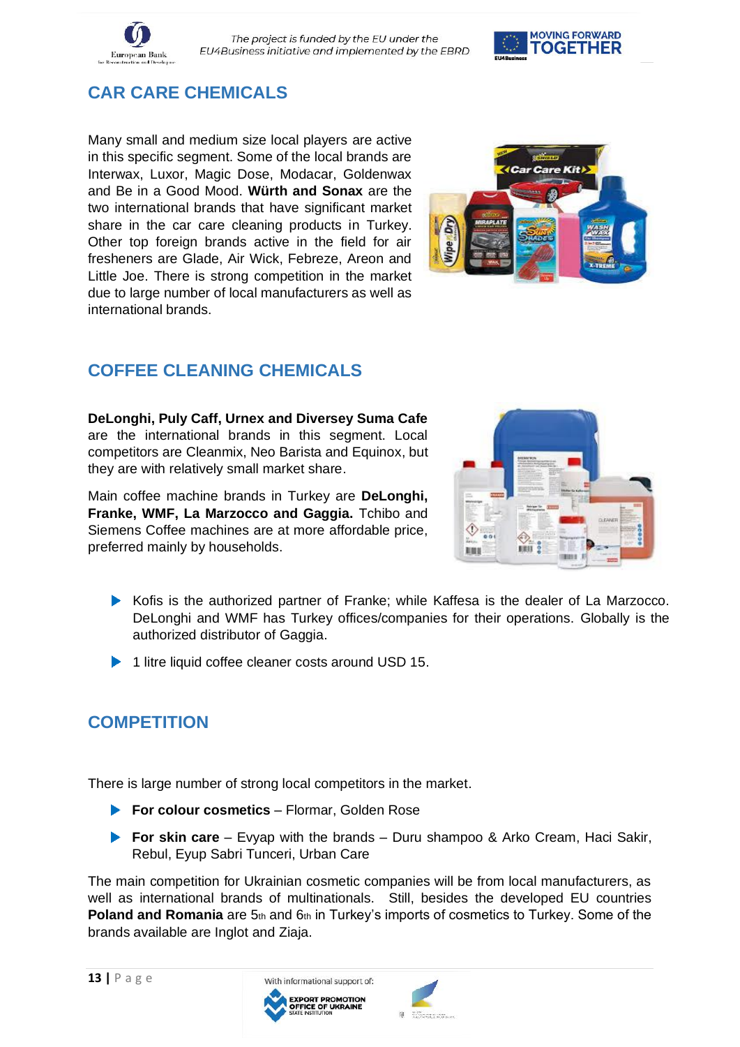



# **CAR CARE CHEMICALS**

Many small and medium size local players are active in this specific segment. Some of the local brands are Interwax, Luxor, Magic Dose, Modacar, Goldenwax and Be in a Good Mood. **Würth and Sonax** are the two international brands that have significant market share in the car care cleaning products in Turkey. Other top foreign brands active in the field for air fresheners are Glade, Air Wick, Febreze, Areon and Little Joe. There is strong competition in the market due to large number of local manufacturers as well as international brands.



# **COFFEE CLEANING CHEMICALS**

**DeLonghi, Puly Caff, Urnex and Diversey Suma Cafe** are the international brands in this segment. Local competitors are Cleanmix, Neo Barista and Equinox, but they are with relatively small market share.

Main coffee machine brands in Turkey are **DeLonghi, Franke, WMF, La Marzocco and Gaggia.** Tchibo and Siemens Coffee machines are at more affordable price, preferred mainly by households.



- Kofis is the authorized partner of Franke; while Kaffesa is the dealer of La Marzocco. DeLonghi and WMF has Turkey offices/companies for their operations. Globally is the authorized distributor of Gaggia.
- ▶ 1 litre liquid coffee cleaner costs around USD 15.

# **COMPETITION**

There is large number of strong local competitors in the market.

- **For colour cosmetics** Flormar, Golden Rose
- **For skin care** Evyap with the brands Duru shampoo & Arko Cream, Haci Sakir, Rebul, Eyup Sabri Tunceri, Urban Care

The main competition for Ukrainian cosmetic companies will be from local manufacturers, as well as international brands of multinationals. Still, besides the developed EU countries Poland and Romania are 5th and 6th in Turkey's imports of cosmetics to Turkey. Some of the brands available are Inglot and Ziaja.



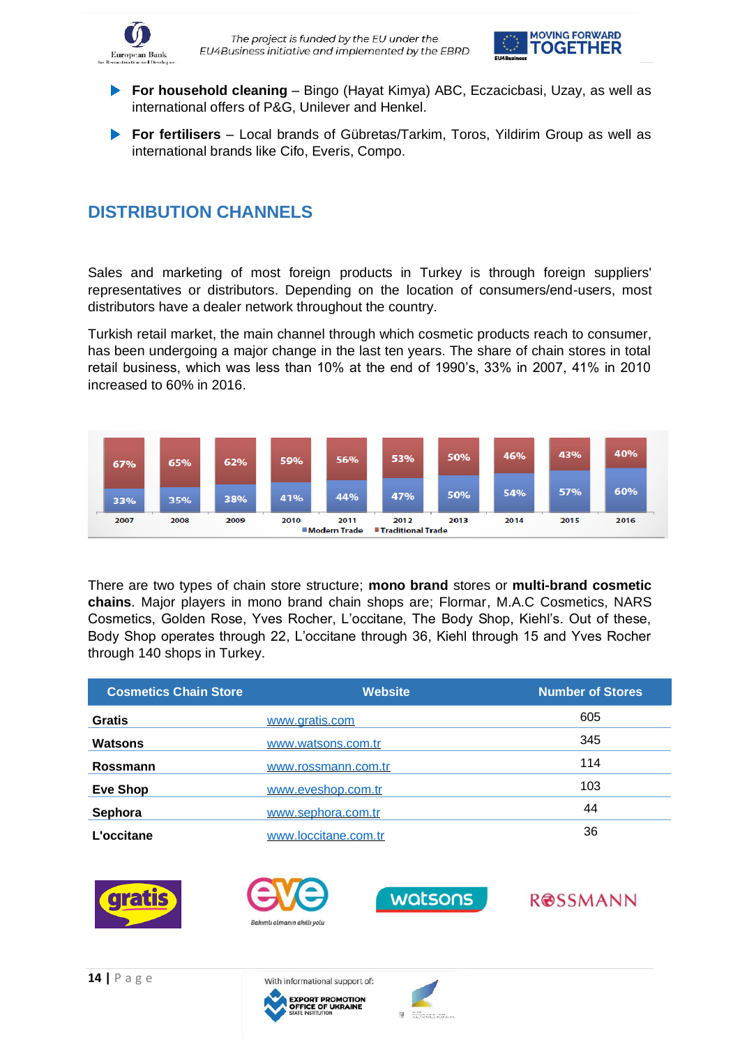



- **For household cleaning** Bingo (Hayat Kimya) ABC, Eczacicbasi, Uzay, as well as international offers of P&G, Unilever and Henkel.
- **For fertilisers** Local brands of Gübretas/Tarkim, Toros, Yildirim Group as well as international brands like Cifo, Everis, Compo.

## **DISTRIBUTION CHANNELS**

Sales and marketing of most foreign products in Turkey is through foreign suppliers' representatives or distributors. Depending on the location of consumers/end-users, most distributors have a dealer network throughout the country.

Turkish retail market, the main channel through which cosmetic products reach to consumer, has been undergoing a major change in the last ten years. The share of chain stores in total retail business, which was less than 10% at the end of 1990's, 33% in 2007, 41% in 2010 increased to 60% in 2016.



There are two types of chain store structure; **mono brand** stores or **multi-brand cosmetic chains**. Major players in mono brand chain shops are; Flormar, M.A.C Cosmetics, NARS Cosmetics, Golden Rose, Yves Rocher, L'occitane, The Body Shop, Kiehl's. Out of these, Body Shop operates through 22, L'occitane through 36, Kiehl through 15 and Yves Rocher through 140 shops in Turkey.

| <b>Cosmetics Chain Store</b> | <b>Website</b>       | <b>Number of Stores</b> |
|------------------------------|----------------------|-------------------------|
| <b>Gratis</b>                | www.gratis.com       | 605                     |
| <b>Watsons</b>               | www.watsons.com.tr   | 345                     |
| Rossmann                     | www.rossmann.com.tr  | 114                     |
| <b>Eve Shop</b>              | www.eveshop.com.tr   | 103                     |
| Sephora                      | www.sephora.com.tr   | 44                      |
| L'occitane                   | www.loccitane.com.tr | 36                      |







ROSSMANN

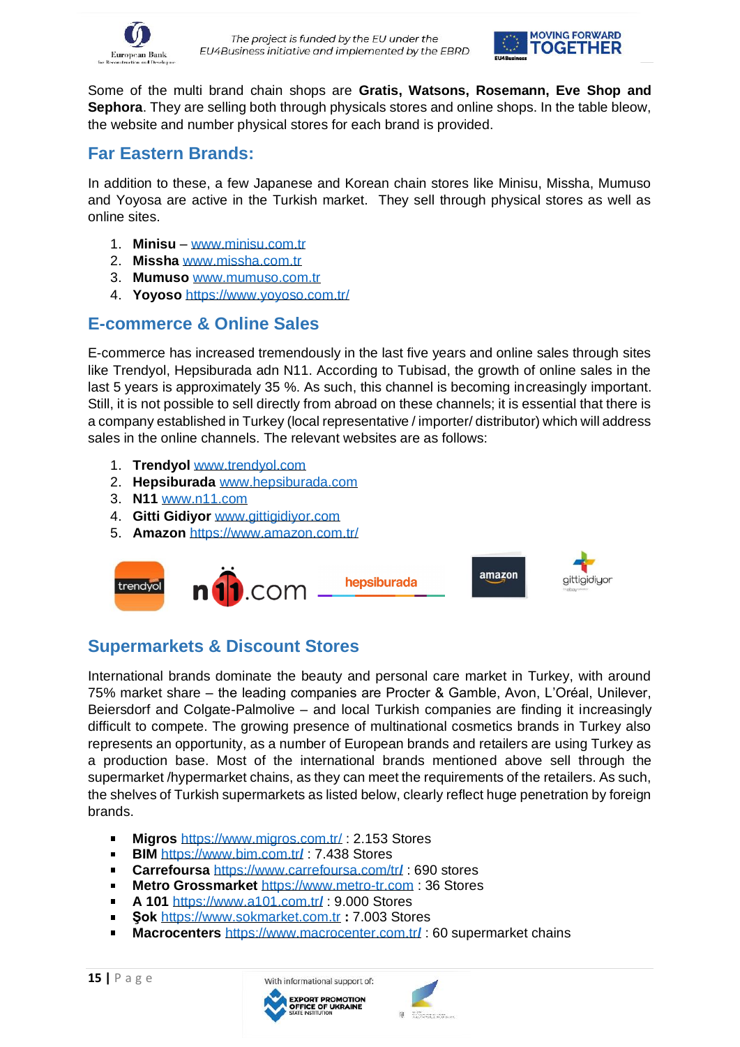



Some of the multi brand chain shops are **Gratis, Watsons, Rosemann, Eve Shop and Sephora**. They are selling both through physicals stores and online shops. In the table bleow, the website and number physical stores for each brand is provided.

#### **Far Eastern Brands:**

In addition to these, a few Japanese and Korean chain stores like Minisu, Missha, Mumuso and Yoyosa are active in the Turkish market. They sell through physical stores as well as online sites.

- 1. **Minisu** [www.minisu.com.tr](http://www.minisu.com.tr/)
- 2. **Missha** [www.missha.com.tr](http://www.missha.com.tr/)
- 3. **Mumuso** [www.mumuso.com.tr](http://www.mumuso.com.tr/)
- 4. **Yoyoso** <https://www.yoyoso.com.tr/>

#### **E-commerce & Online Sales**

E-commerce has increased tremendously in the last five years and online sales through sites like Trendyol, Hepsiburada adn N11. According to Tubisad, the growth of online sales in the last 5 years is approximately 35 %. As such, this channel is becoming increasingly important. Still, it is not possible to sell directly from abroad on these channels; it is essential that there is a company established in Turkey (local representative / importer/ distributor) which will address sales in the online channels. The relevant websites are as follows:

- 1. **Trendyol** [www.trendyol.com](http://www.trendyol.com/)
- 2. **Hepsiburada** [www.hepsiburada.com](http://www.hepsiburada.com/)
- 3. **N11** [www.n11.com](http://www.n11.com/)
- 4. **Gitti Gidiyor** [www.gittigidiyor.com](http://www.gittigidiyor.com/)
- 5. **Amazon** <https://www.amazon.com.tr/>



# **Supermarkets & Discount Stores**

International brands dominate the beauty and personal care market in Turkey, with around 75% market share – the leading companies are Procter & Gamble, Avon, L'Oréal, Unilever, Beiersdorf and Colgate-Palmolive – and local Turkish companies are finding it increasingly difficult to compete. The growing presence of multinational cosmetics brands in Turkey also represents an opportunity, as a number of European brands and retailers are using Turkey as a production base. Most of the international brands mentioned above sell through the supermarket /hypermarket chains, as they can meet the requirements of the retailers. As such, the shelves of Turkish supermarkets as listed below, clearly reflect huge penetration by foreign brands.

- $\blacksquare$ **Migros** <https://www.migros.com.tr/> : 2.153 Stores
- $\blacksquare$ **BIM** [https://www.bim.com.tr](https://www.bim.com.tr/)**[/](https://www.bim.com.tr/)** : 7.438 Stores
- **Carrefoursa** [https://www.carrefoursa.com/tr](https://www.carrefoursa.com/tr/)**[/](https://www.carrefoursa.com/tr/)** : 690 stores  $\mathbf{r}$
- **Metro Grossmarket** [https://www.metro-tr.com](https://www.metro-tr.com/) : 36 Stores  $\blacksquare$
- $\blacksquare$ **A 101** [https://www.a101.com.tr](https://www.a101.com.tr/)**[/](https://www.a101.com.tr/)** : 9.000 Stores
- **Şok** [https://www.sokmarket.com.tr](https://www.sokmarket.com.tr/) **:** 7.003 Stores  $\blacksquare$
- $\blacksquare$ **Macrocenters** [https://www.macrocenter.com.tr](https://www.macrocenter.com.tr/)**[/](https://www.macrocenter.com.tr/)** : 60 supermarket chains



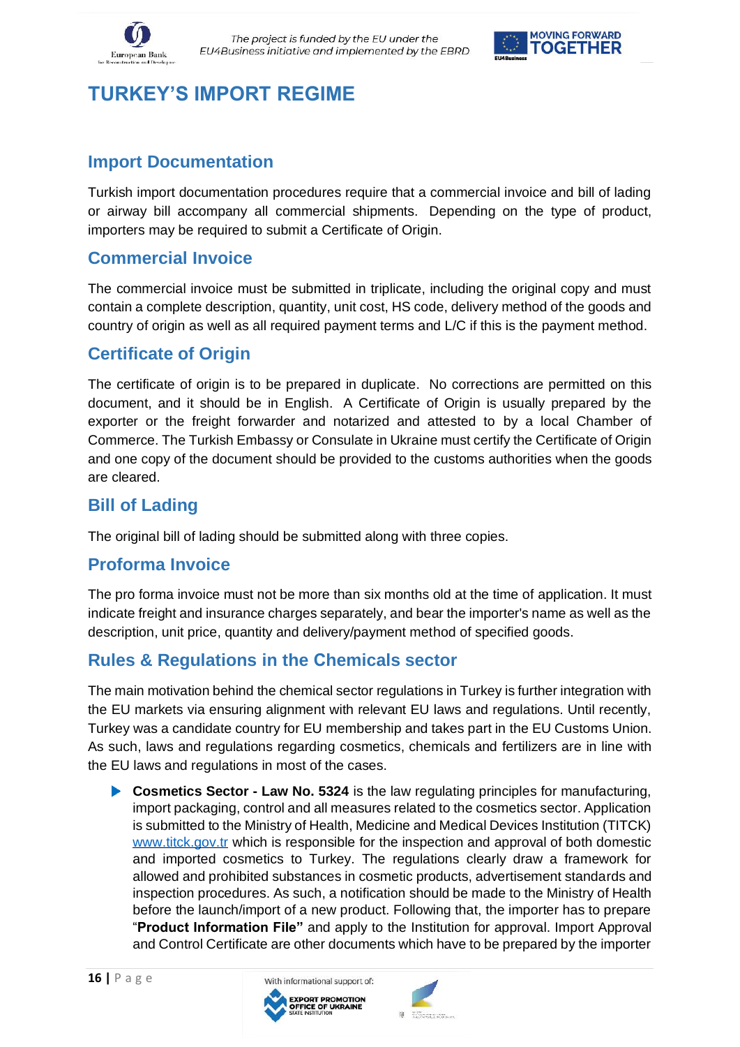



# **TURKEY'S IMPORT REGIME**

#### **Import Documentation**

Turkish import documentation procedures require that a commercial invoice and bill of lading or airway bill accompany all commercial shipments. Depending on the type of product, importers may be required to submit a Certificate of Origin.

#### **Commercial Invoice**

The commercial invoice must be submitted in triplicate, including the original copy and must contain a complete description, quantity, unit cost, HS code, delivery method of the goods and country of origin as well as all required payment terms and L/C if this is the payment method.

#### **Certificate of Origin**

The certificate of origin is to be prepared in duplicate. No corrections are permitted on this document, and it should be in English. A Certificate of Origin is usually prepared by the exporter or the freight forwarder and notarized and attested to by a local Chamber of Commerce. The Turkish Embassy or Consulate in Ukraine must certify the Certificate of Origin and one copy of the document should be provided to the customs authorities when the goods are cleared.

#### **Bill of Lading**

The original bill of lading should be submitted along with three copies.

#### **Proforma Invoice**

The pro forma invoice must not be more than six months old at the time of application. It must indicate freight and insurance charges separately, and bear the importer's name as well as the description, unit price, quantity and delivery/payment method of specified goods.

#### **Rules & Regulations in the Сhemicals sector**

The main motivation behind the chemical sector regulations in Turkey is further integration with the EU markets via ensuring alignment with relevant EU laws and regulations. Until recently, Turkey was a candidate country for EU membership and takes part in the EU Customs Union. As such, laws and regulations regarding cosmetics, chemicals and fertilizers are in line with the EU laws and regulations in most of the cases.

**Cosmetics Sector - Law No. 5324** is the law regulating principles for manufacturing, import packaging, control and all measures related to the cosmetics sector. Application is submitted to the Ministry of Health, Medicine and Medical Devices Institution (TITCK) [www.titck.gov.tr](http://www.titck.gov.tr/) which is responsible for the inspection and approval of both domestic and imported cosmetics to Turkey. The regulations clearly draw a framework for allowed and prohibited substances in cosmetic products, advertisement standards and inspection procedures. As such, a notification should be made to the Ministry of Health before the launch/import of a new product. Following that, the importer has to prepare "**Product Information File"** and apply to the Institution for approval. Import Approval and Control Certificate are other documents which have to be prepared by the importer



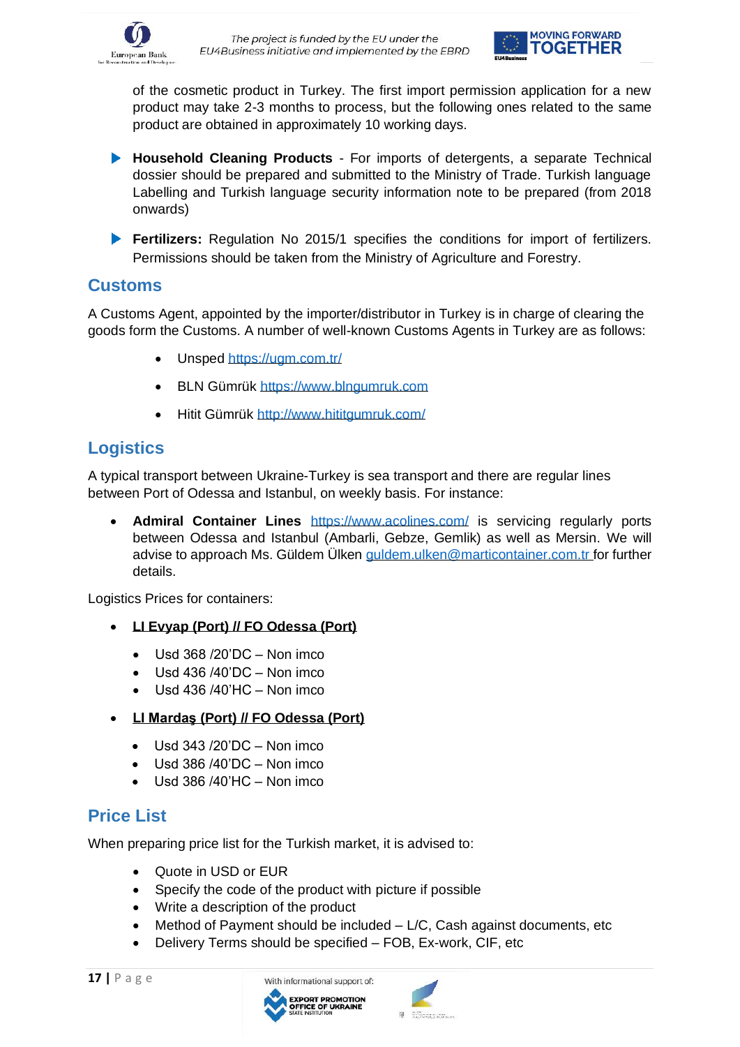



of the cosmetic product in Turkey. The first import permission application for a new product may take 2-3 months to process, but the following ones related to the same product are obtained in approximately 10 working days.

- **Household Cleaning Products**  For imports of detergents, a separate Technical dossier should be prepared and submitted to the Ministry of Trade. Turkish language Labelling and Turkish language security information note to be prepared (from 2018 onwards)
- **Fertilizers:** Regulation No 2015/1 specifies the conditions for import of fertilizers. Permissions should be taken from the Ministry of Agriculture and Forestry.

#### **Customs**

A Customs Agent, appointed by the importer/distributor in Turkey is in charge of clearing the goods form the Customs. A number of well-known Customs Agents in Turkey are as follows:

- Unsped<https://ugm.com.tr/>
- BLN Gümrük [https://www.blngumruk.com](https://www.blngumruk.com/)
- Hitit Gümrük<http://www.hititgumruk.com/>

## **Logistics**

A typical transport between Ukraine-Turkey is sea transport and there are regular lines between Port of Odessa and Istanbul, on weekly basis. For instance:

• **Admiral Container Lines** <https://www.acolines.com/> is servicing regularly ports between Odessa and Istanbul (Ambarli, Gebze, Gemlik) as well as Mersin. We will advise to approach Ms. Güldem Ülken guldem, ulken@marticontainer.com.tr for further details.

Logistics Prices for containers:

- **LI Evyap (Port) // FO Odessa (Port)** 
	- $\bullet$  Usd 368 /20'DC Non imco
	- Usd 436 /40'DC Non imco
	- $\bullet$  Usd 436 /40'HC Non imco
- **LI Mardaş (Port) // FO Odessa (Port)** 
	- Usd 343 /20'DC Non imco
	- $\bullet$  Usd 386/40'DC Non imco
	- Usd 386 /40'HC Non imco

#### **Price List**

When preparing price list for the Turkish market, it is advised to:

- Quote in USD or EUR
- Specify the code of the product with picture if possible
- Write a description of the product
- Method of Payment should be included L/C, Cash against documents, etc
- Delivery Terms should be specified FOB, Ex-work, CIF, etc



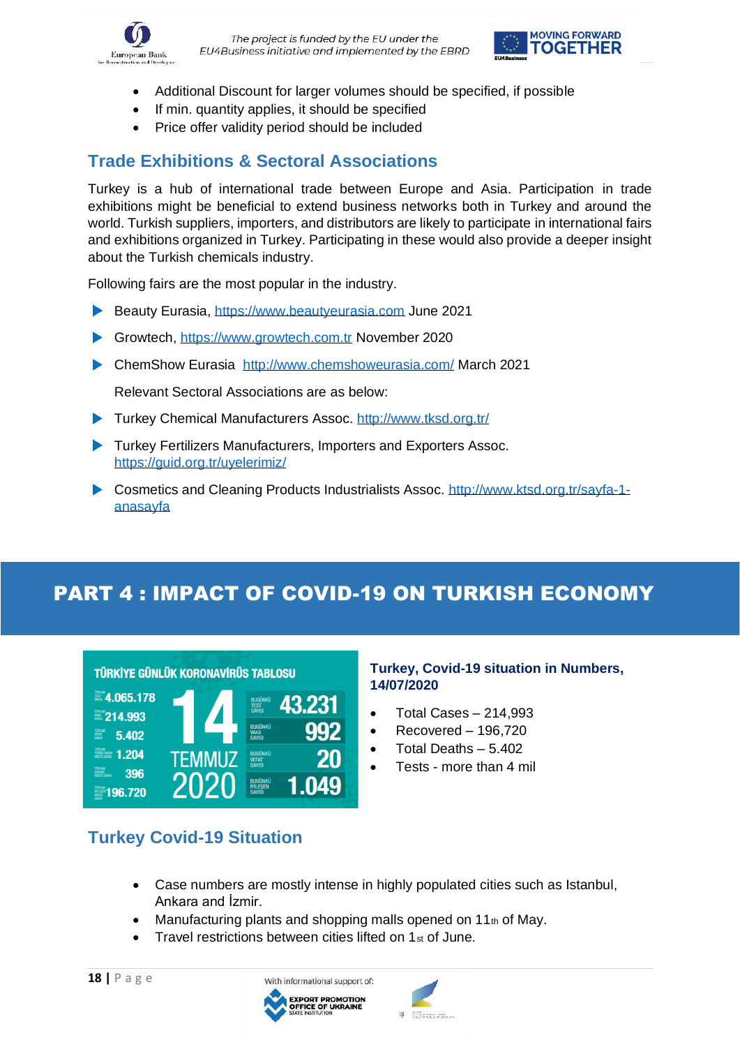



- Additional Discount for larger volumes should be specified, if possible
- If min. quantity applies, it should be specified
- Price offer validity period should be included

### **Trade Exhibitions & Sectoral Associations**

Turkey is a hub of international trade between Europe and Asia. Participation in trade exhibitions might be beneficial to extend business networks both in Turkey and around the world. Turkish suppliers, importers, and distributors are likely to participate in international fairs and exhibitions organized in Turkey. Participating in these would also provide a deeper insight about the Turkish chemicals industry.

Following fairs are the most popular in the industry.

- Beauty Eurasia, [https://www.beautyeurasia.com](https://www.beautyeurasia.com/) June 2021
- Growtech, [https://www.growtech.com.tr](https://www.growtech.com.tr/) November 2020
- ChemShow Eurasia <http://www.chemshoweurasia.com/> March 2021

Relevant Sectoral Associations are as below:

- ▶ Turkey Chemical Manufacturers Assoc.<http://www.tksd.org.tr/>
- **Turkey Fertilizers Manufacturers, Importers and Exporters Assoc.** <https://guid.org.tr/uyelerimiz/>
- ▶ Cosmetics and Cleaning Products Industrialists Assoc. [http://www.ktsd.org.tr/sayfa-1](http://www.ktsd.org.tr/sayfa-1-anasayfa) [anasayfa](http://www.ktsd.org.tr/sayfa-1-anasayfa)

# PART 4 : IMPACT OF COVID-19 ON TURKISH ECONOMY



#### **Turkey, Covid-19 situation in Numbers, 14/07/2020**

- Total Cases 214,993
- Recovered 196,720
- Total Deaths 5.402
- Tests more than 4 mil

#### **Turkey Covid-19 Situation**

- Case numbers are mostly intense in highly populated cities such as Istanbul, Ankara and İzmir.
- Manufacturing plants and shopping malls opened on 11th of May.
- Travel restrictions between cities lifted on  $1<sub>st</sub>$  of June.